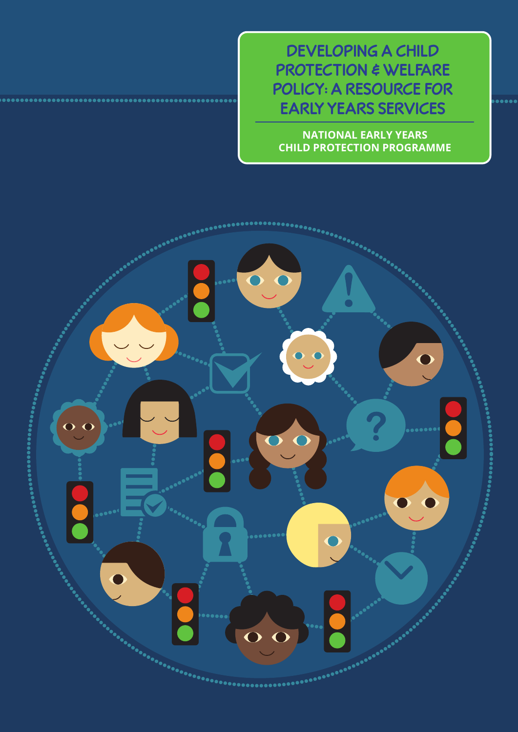**DEVELOPING A CHILD PROTECTION & WELFARE POLICY: A RESOURCE FOR EARLY YEARS SERVICES**

**NATIONAL EARLY YEARS CHILD PROTECTION PROGRAMME**

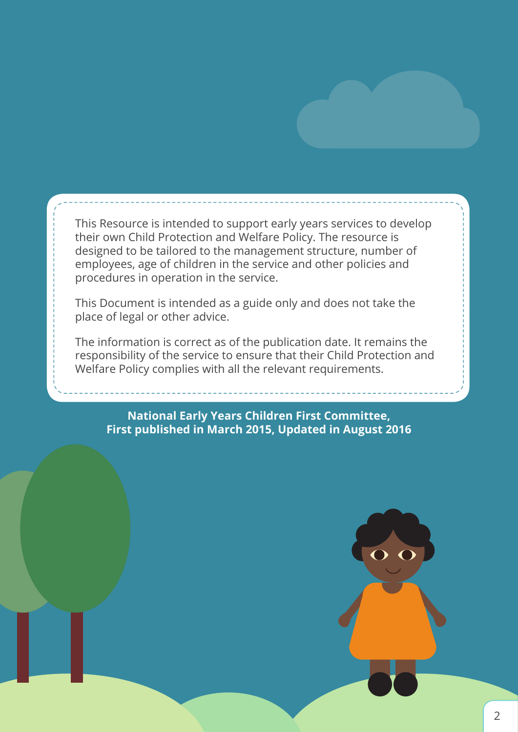This Resource is intended to support early years services to develop their own Child Protection and Welfare Policy. The resource is designed to be tailored to the management structure, number of employees, age of children in the service and other policies and procedures in operation in the service.

This Document is intended as a guide only and does not take the place of legal or other advice.

The information is correct as of the publication date. It remains the responsibility of the service to ensure that their Child Protection and Welfare Policy complies with all the relevant requirements.

**National Early Years Children First Committee, First published in March 2015, Updated in August 2016**

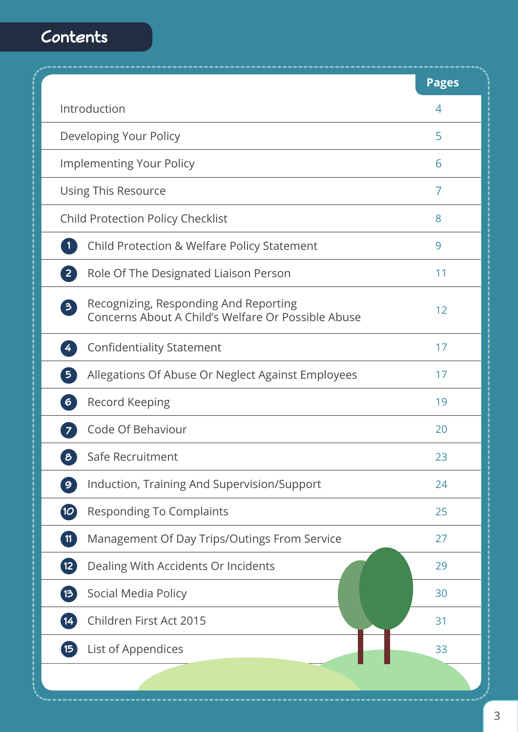# **Contents**

|                                                                                                                        | <b>Pages</b> |
|------------------------------------------------------------------------------------------------------------------------|--------------|
| Introduction                                                                                                           | 4            |
| Developing Your Policy                                                                                                 | 5            |
| <b>Implementing Your Policy</b>                                                                                        | 6            |
| Using This Resource                                                                                                    | 7            |
| <b>Child Protection Policy Checklist</b>                                                                               | 8            |
| <b>Child Protection &amp; Welfare Policy Statement</b><br>$\mathbf{1}$                                                 | 9            |
| $\overline{2}$<br>Role Of The Designated Liaison Person                                                                | 11           |
| Recognizing, Responding And Reporting<br>$\overline{\mathbf{3}}$<br>Concerns About A Child's Welfare Or Possible Abuse | 12           |
| <b>Confidentiality Statement</b><br>$\overline{4}$                                                                     | 17           |
| Allegations Of Abuse Or Neglect Against Employees<br>$\overline{\mathbf{5}}$                                           | 17           |
| $\begin{bmatrix} 6 \end{bmatrix}$<br><b>Record Keeping</b>                                                             | 19           |
| Code Of Behaviour<br>$\overline{7}$                                                                                    | 20           |
| $\boldsymbol{\delta}$<br>Safe Recruitment                                                                              | 23           |
| $\boxed{9}$<br>Induction, Training And Supervision/Support                                                             | 24           |
| $\boldsymbol{\mathcal{O}}$<br><b>Responding To Complaints</b>                                                          | 25           |
| $\boxed{11}$<br>Management Of Day Trips/Outings From Service                                                           | 27           |
| $\overline{12}$<br>Dealing With Accidents Or Incidents                                                                 | 29           |
| Social Media Policy<br>$\left( 13 \right)$                                                                             | 30           |
| Children First Act 2015<br>$\left  \right $ 14                                                                         | 31           |
| List of Appendices<br>$\left  \mathbf{15}\right $                                                                      | 33           |
|                                                                                                                        |              |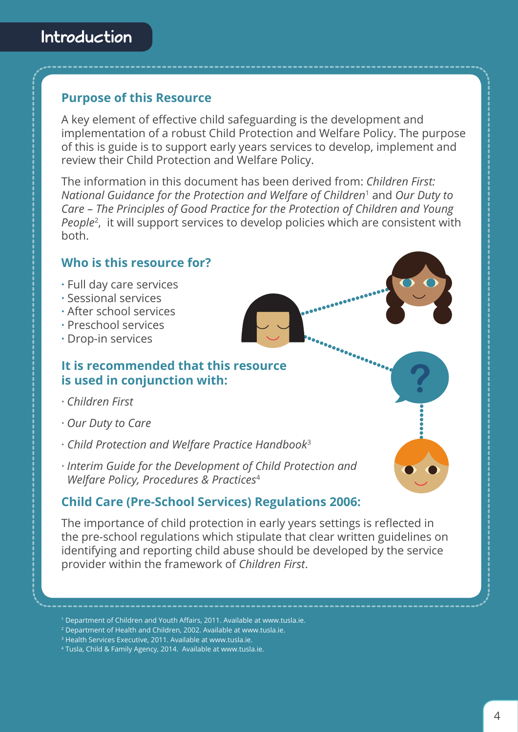## **Purpose of this Resource**

A key element of effective child safeguarding is the development and implementation of a robust Child Protection and Welfare Policy. The purpose of this is guide is to support early years services to develop, implement and review their Child Protection and Welfare Policy.

The information in this document has been derived from: *Children First: National Guidance for the Protection and Welfare of Children*1 and *Our Duty to Care* – *The Principles of Good Practice for the Protection of Children and Young People*2, it will support services to develop policies which are consistent with both.

## **Who is this resource for?**

- **·** Full day care services
- **·** Sessional services
- **·** After school services
- **·** Preschool services
- **·** Drop-in services

## **It is recommended that this resource is used in conjunction with:**

- *· Children First*
- *· Our Duty to Care*
- · *Child Protection and Welfare Practice Handbook*<sup>3</sup>
- *· Interim Guide for the Development of Child Protection and Welfare Policy, Procedures & Practices*<sup>4</sup>

## **Child Care (Pre-School Services) Regulations 2006:**

The importance of child protection in early years settings is reflected in the pre-school regulations which stipulate that clear written guidelines on identifying and reporting child abuse should be developed by the service provider within the framework of *Children First*.

<sup>1</sup> Department of Children and Youth Affairs, 2011. Available at www.tusla.ie.

<sup>2</sup> Department of Health and Children, 2002. Available at www.tusla.ie.

<sup>&</sup>lt;sup>3</sup> Health Services Executive, 2011. Available at www.tusla.ie.

<sup>4</sup> Tusla, Child & Family Agency, 2014. Available at www.tusla.ie.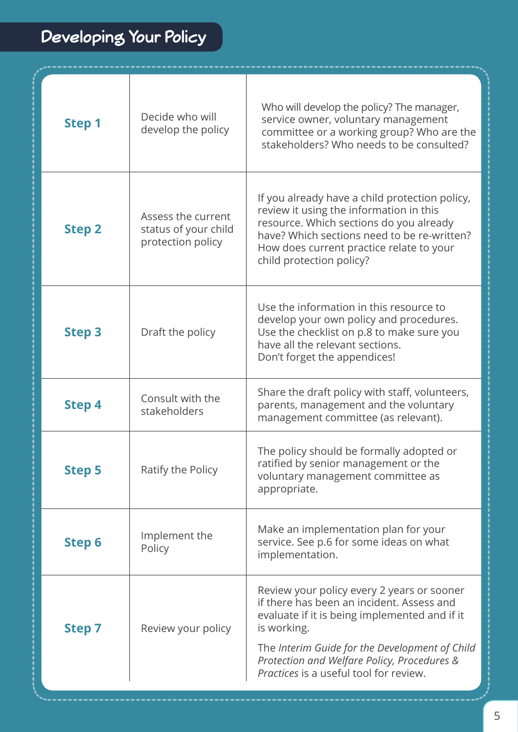# **Developing Your Policy**

| Decide who will<br>develop the policy                           | Who will develop the policy? The manager,<br>service owner, voluntary management<br>committee or a working group? Who are the<br>stakeholders? Who needs to be consulted?                                                                                                                          |
|-----------------------------------------------------------------|----------------------------------------------------------------------------------------------------------------------------------------------------------------------------------------------------------------------------------------------------------------------------------------------------|
| Assess the current<br>status of your child<br>protection policy | If you already have a child protection policy,<br>review it using the information in this<br>resource. Which sections do you already<br>have? Which sections need to be re-written?<br>How does current practice relate to your<br>child protection policy?                                        |
| Draft the policy                                                | Use the information in this resource to<br>develop your own policy and procedures.<br>Use the checklist on p.8 to make sure you<br>have all the relevant sections.<br>Don't forget the appendices!                                                                                                 |
| Consult with the<br>stakeholders                                | Share the draft policy with staff, volunteers,<br>parents, management and the voluntary<br>management committee (as relevant).                                                                                                                                                                     |
| Ratify the Policy                                               | The policy should be formally adopted or<br>ratified by senior management or the<br>voluntary management committee as<br>appropriate.                                                                                                                                                              |
| Implement the<br>Policy                                         | Make an implementation plan for your<br>service. See p.6 for some ideas on what<br>implementation.                                                                                                                                                                                                 |
| Review your policy                                              | Review your policy every 2 years or sooner<br>if there has been an incident. Assess and<br>evaluate if it is being implemented and if it<br>is working.<br>The Interim Guide for the Development of Child<br>Protection and Welfare Policy, Procedures &<br>Practices is a useful tool for review. |
|                                                                 |                                                                                                                                                                                                                                                                                                    |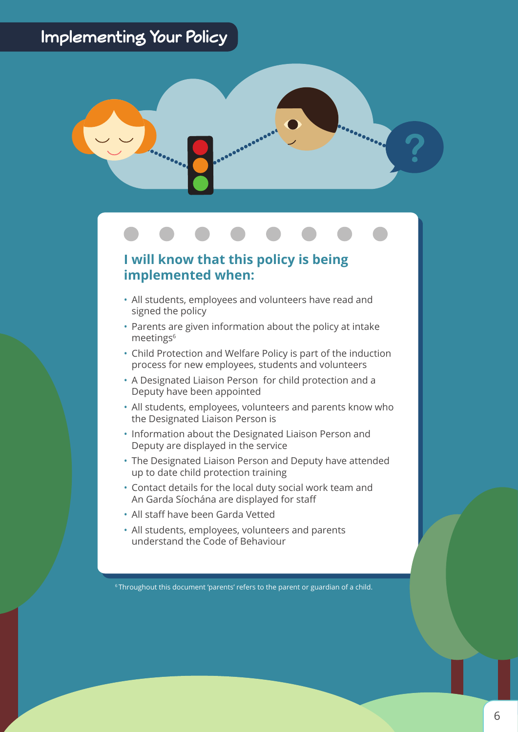## **Implementing Your Policy**



## **I will know that this policy is being implemented when:**

- All students, employees and volunteers have read and signed the policy
- Parents are given information about the policy at intake meetings<sup>6</sup>
- Child Protection and Welfare Policy is part of the induction process for new employees, students and volunteers
- A Designated Liaison Person for child protection and a Deputy have been appointed
- All students, employees, volunteers and parents know who the Designated Liaison Person is
- Information about the Designated Liaison Person and Deputy are displayed in the service
- The Designated Liaison Person and Deputy have attended up to date child protection training
- Contact details for the local duty social work team and An Garda Síochána are displayed for staff
- All staff have been Garda Vetted
- All students, employees, volunteers and parents understand the Code of Behaviour

6 Throughout this document 'parents' refers to the parent or guardian of a child.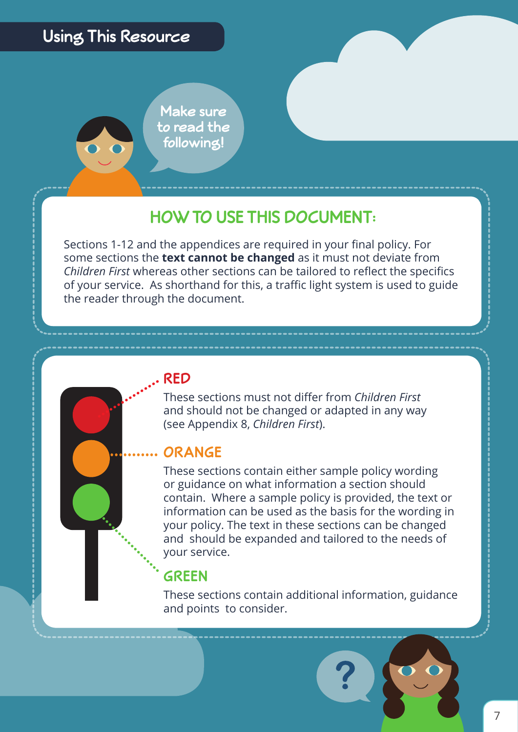

# **HOW TO USE THIS DOCUMENT:**

Sections 1-12 and the appendices are required in your final policy. For some sections the **text cannot be changed** as it must not deviate from *Children First* whereas other sections can be tailored to reflect the specifics of your service. As shorthand for this, a traffic light system is used to guide the reader through the document.

## **RED**

These sections must not differ from *Children First* and should not be changed or adapted in any way (see Appendix 8, *Children First*).

## **ORANGE**

These sections contain either sample policy wording or guidance on what information a section should contain. Where a sample policy is provided, the text or information can be used as the basis for the wording in your policy. The text in these sections can be changed and should be expanded and tailored to the needs of your service.

## **GREEN**

These sections contain additional information, guidance and points to consider.



7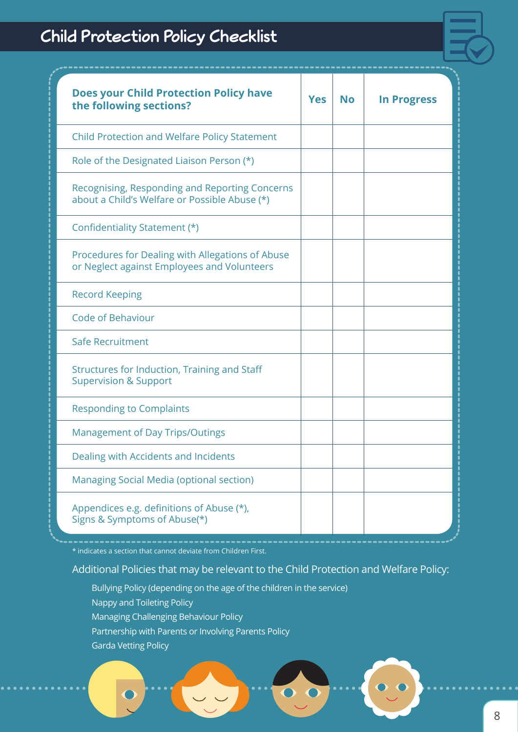# **Child Protection Policy Checklist**



| <b>Does your Child Protection Policy have</b><br>the following sections?                        | <b>Yes</b> | <b>No</b> | <b>In Progress</b> |
|-------------------------------------------------------------------------------------------------|------------|-----------|--------------------|
| <b>Child Protection and Welfare Policy Statement</b>                                            |            |           |                    |
| Role of the Designated Liaison Person (*)                                                       |            |           |                    |
| Recognising, Responding and Reporting Concerns<br>about a Child's Welfare or Possible Abuse (*) |            |           |                    |
| Confidentiality Statement (*)                                                                   |            |           |                    |
| Procedures for Dealing with Allegations of Abuse<br>or Neglect against Employees and Volunteers |            |           |                    |
| <b>Record Keeping</b>                                                                           |            |           |                    |
| <b>Code of Behaviour</b>                                                                        |            |           |                    |
| Safe Recruitment                                                                                |            |           |                    |
| Structures for Induction, Training and Staff<br><b>Supervision &amp; Support</b>                |            |           |                    |
| <b>Responding to Complaints</b>                                                                 |            |           |                    |
| <b>Management of Day Trips/Outings</b>                                                          |            |           |                    |
| Dealing with Accidents and Incidents                                                            |            |           |                    |
| Managing Social Media (optional section)                                                        |            |           |                    |
| Appendices e.g. definitions of Abuse (*),<br>Signs & Symptoms of Abuse(*)                       |            |           |                    |

\* indicates a section that cannot deviate from Children First.

Additional Policies that may be relevant to the Child Protection and Welfare Policy:

- Bullying Policy (depending on the age of the children in the service)
- Nappy and Toileting Policy
- Managing Challenging Behaviour Policy
- Partnership with Parents or Involving Parents Policy
- Garda Vetting Policy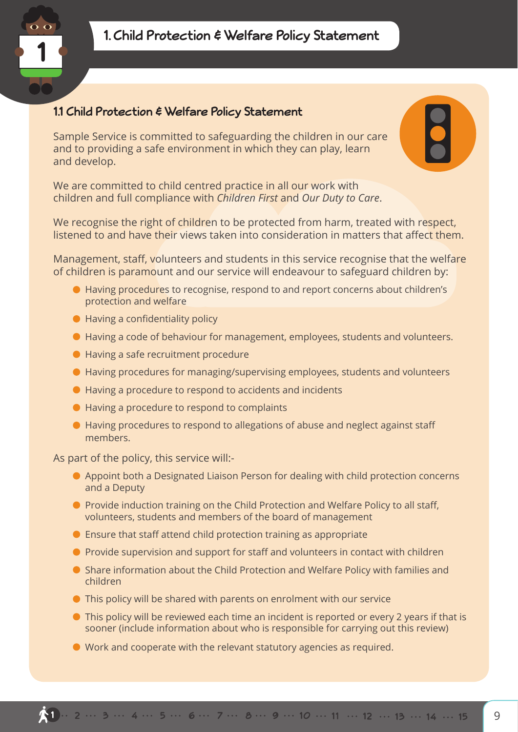

## **1.1 Child Protection & Welfare Policy Statement**

Sample Service is committed to safeguarding the children in our care and to providing a safe environment in which they can play, learn and develop.

We are committed to child centred practice in all our work with children and full compliance with *Children First* and *Our Duty to Care*.

We recognise the right of children to be protected from harm, treated with respect, listened to and have their views taken into consideration in matters that affect them.

Management, staff, volunteers and students in this service recognise that the welfare of children is paramount and our service will endeavour to safeguard children by:

- Having procedures to recognise, respond to and report concerns about children's protection and welfare
- Having a confidentiality policy
- Having a code of behaviour for management, employees, students and volunteers.
- Having a safe recruitment procedure
- Having procedures for managing/supervising employees, students and volunteers
- Having a procedure to respond to accidents and incidents
- Having a procedure to respond to complaints
- Having procedures to respond to allegations of abuse and neglect against staff members.

As part of the policy, this service will:-

- Appoint both a Designated Liaison Person for dealing with child protection concerns and a Deputy
- **•** Provide induction training on the Child Protection and Welfare Policy to all staff, volunteers, students and members of the board of management
- Ensure that staff attend child protection training as appropriate
- **•** Provide supervision and support for staff and volunteers in contact with children
- Share information about the Child Protection and Welfare Policy with families and children
- This policy will be shared with parents on enrolment with our service
- This policy will be reviewed each time an incident is reported or every 2 years if that is sooner (include information about who is responsible for carrying out this review)
- Work and cooperate with the relevant statutory agencies as required.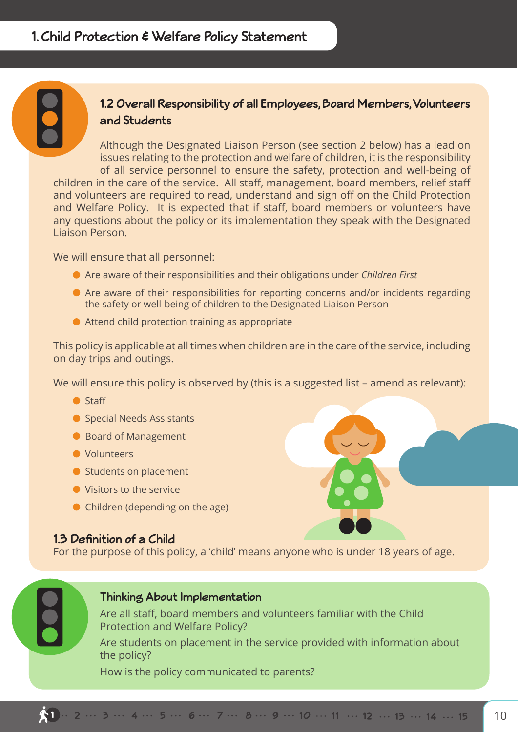## **1.2 Overall Responsibility of all Employees, Board Members, Volunteers and Students**

Although the Designated Liaison Person (see section 2 below) has a lead on issues relating to the protection and welfare of children, it is the responsibility of all service personnel to ensure the safety, protection and well-being of children in the care of the service. All staff, management, board members, relief staff and volunteers are required to read, understand and sign off on the Child Protection and Welfare Policy. It is expected that if staff, board members or volunteers have any questions about the policy or its implementation they speak with the Designated Liaison Person.

We will ensure that all personnel:

- Are aware of their responsibilities and their obligations under *Children First*
- Are aware of their responsibilities for reporting concerns and/or incidents regarding the safety or well-being of children to the Designated Liaison Person
- Attend child protection training as appropriate

This policy is applicable at all times when children are in the care of the service, including on day trips and outings.

We will ensure this policy is observed by (this is a suggested list – amend as relevant):

- **O** Staff
- **Special Needs Assistants**
- Board of Management
- **O** Volunteers
- Students on placement
- Visitors to the service
- Children (depending on the age)

## **1.3 Definition of a Child**

For the purpose of this policy, a 'child' means anyone who is under 18 years of age.

## **Thinking About Implementation**

Are all staff, board members and volunteers familiar with the Child Protection and Welfare Policy?

Are students on placement in the service provided with information about the policy?

How is the policy communicated to parents?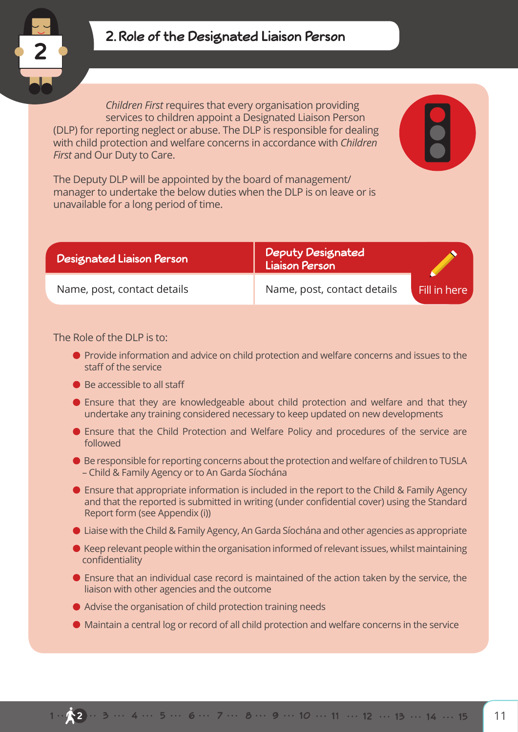

## **2. Role of the Designated Liaison Person**

*Children First* requires that every organisation providing services to children appoint a Designated Liaison Person (DLP) for reporting neglect or abuse. The DLP is responsible for dealing with child protection and welfare concerns in accordance with *Children First* and Our Duty to Care.

The Deputy DLP will be appointed by the board of management/ manager to undertake the below duties when the DLP is on leave or is unavailable for a long period of time.

| <b>Designated Liaison Person</b> | <b>Deputy Designated</b><br>Liaison Person |              |
|----------------------------------|--------------------------------------------|--------------|
| Name, post, contact details      | Name, post, contact details                | Fill in here |

The Role of the DLP is to:

- **•** Provide information and advice on child protection and welfare concerns and issues to the staff of the service
- Be accessible to all staff
- Ensure that they are knowledgeable about child protection and welfare and that they undertake any training considered necessary to keep updated on new developments
- Ensure that the Child Protection and Welfare Policy and procedures of the service are followed
- Be responsible for reporting concerns about the protection and welfare of children to TUSLA – Child & Family Agency or to An Garda Síochána
- Ensure that appropriate information is included in the report to the Child & Family Agency and that the reported is submitted in writing (under confidential cover) using the Standard Report form (see Appendix (i))
- Liaise with the Child & Family Agency, An Garda Síochána and other agencies as appropriate
- Keep relevant people within the organisation informed of relevant issues, whilst maintaining confidentiality
- Ensure that an individual case record is maintained of the action taken by the service, the liaison with other agencies and the outcome
- Advise the organisation of child protection training needs
- Maintain a central log or record of all child protection and welfare concerns in the service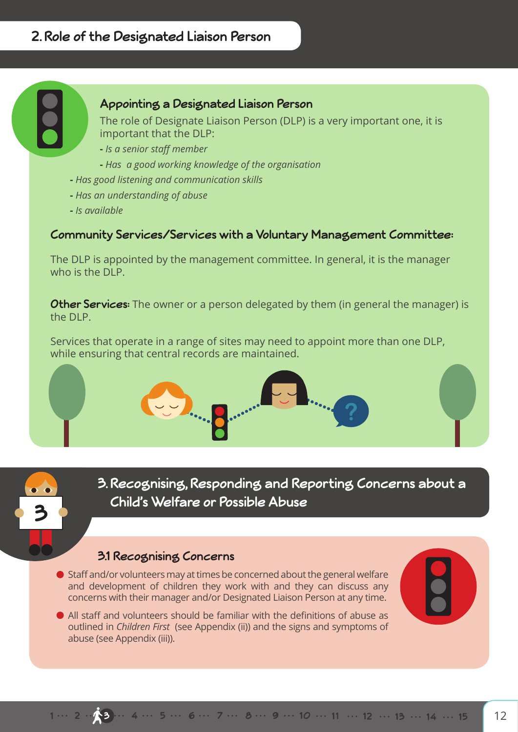## A Child Protection and Welfare Policy starts with a child protection & welfare **Appointing a Designated Liaison Person**

The role of Designate Liaison Person (DLP) is a very important one, it is important that the DLP:

- **-** *Is a senior staff member*
- **-** *Has a good working knowledge of the organisation*
- **-** *Has good listening and communication skills*
- **-** *Has an understanding of abuse*
- **-** *Is available*

## **Community Services/Services with a Voluntary Management Committee:**

The DLP is appointed by the management committee. In general, it is the manager who is the DLP.

**Other Services:** The owner or a person delegated by them (in general the manager) is the DLP.

Services that operate in a range of sites may need to appoint more than one DLP, while ensuring that central records are maintained.



**3. Recognising, Responding and Reporting Concerns about a Child's Welfare or Possible Abuse** 

## **3.1 Recognising Concerns**

- Staff and/or volunteers may at times be concerned about the general welfare and development of children they work with and they can discuss any concerns with their manager and/or Designated Liaison Person at any time.
- All staff and volunteers should be familiar with the definitions of abuse as outlined in *Children First* (see Appendix (ii)) and the signs and symptoms of abuse (see Appendix (iii)).



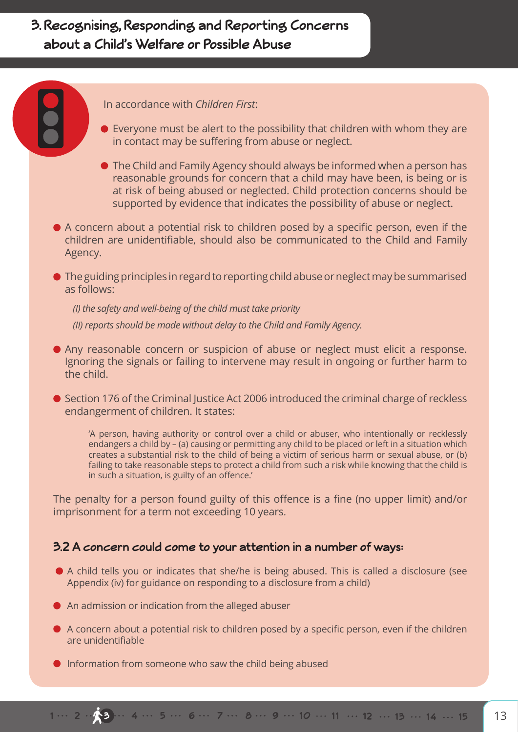In accordance with *Children First*:

- Everyone must be alert to the possibility that children with whom they are in contact may be suffering from abuse or neglect.
- The Child and Family Agency should always be informed when a person has reasonable grounds for concern that a child may have been, is being or is at risk of being abused or neglected. Child protection concerns should be supported by evidence that indicates the possibility of abuse or neglect.
- A concern about a potential risk to children posed by a specific person, even if the children are unidentifiable, should also be communicated to the Child and Family Agency.
- The guiding principles in regard to reporting child abuse or neglect may be summarised as follows:

*(I) the safety and well-being of the child must take priority (II) reports should be made without delay to the Child and Family Agency.*

- Any reasonable concern or suspicion of abuse or neglect must elicit a response. Ignoring the signals or failing to intervene may result in ongoing or further harm to the child.
- Section 176 of the Criminal Justice Act 2006 introduced the criminal charge of reckless endangerment of children. It states:

'A person, having authority or control over a child or abuser, who intentionally or recklessly endangers a child by – (a) causing or permitting any child to be placed or left in a situation which creates a substantial risk to the child of being a victim of serious harm or sexual abuse, or (b) failing to take reasonable steps to protect a child from such a risk while knowing that the child is in such a situation, is guilty of an offence.'

The penalty for a person found guilty of this offence is a fine (no upper limit) and/or imprisonment for a term not exceeding 10 years.

## **3.2 A concern could come to your attention in a number of ways:**

- A child tells you or indicates that she/he is being abused. This is called a disclosure (see Appendix (iv) for guidance on responding to a disclosure from a child)
- An admission or indication from the alleged abuser
- A concern about a potential risk to children posed by a specific person, even if the children are unidentifiable
- **Information from someone who saw the child being abused**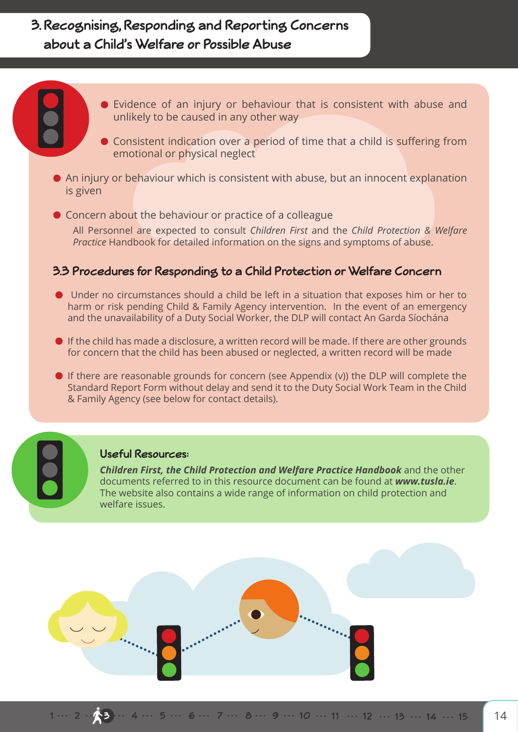- Evidence of an injury or behaviour that is consistent with abuse and unlikely to be caused in any other way
	- **Consistent indication over a period of time that a child is suffering from** emotional or physical neglect
- An injury or behaviour which is consistent with abuse, but an innocent explanation is given
- Concern about the behaviour or practice of a colleague

All Personnel are expected to consult *Children First* and the *Child Protection & Welfare Practice* Handbook for detailed information on the signs and symptoms of abuse.

## **3.3 Procedures for Responding to a Child Protection or Welfare Concern**

- Under no circumstances should a child be left in a situation that exposes him or her to harm or risk pending Child & Family Agency intervention. In the event of an emergency and the unavailability of a Duty Social Worker, the DLP will contact An Garda Síochána
- **If the child has made a disclosure, a written record will be made. If there are other grounds** for concern that the child has been abused or neglected, a written record will be made
- $\bullet$  If there are reasonable grounds for concern (see Appendix (v)) the DLP will complete the Standard Report Form without delay and send it to the Duty Social Work Team in the Child & Family Agency (see below for contact details).

#### **Useful Resources:**

*Children First, the Child Protection and Welfare Practice Handbook* and the other documents referred to in this resource document can be found at *www.tusla.ie*. The website also contains a wide range of information on child protection and welfare issues.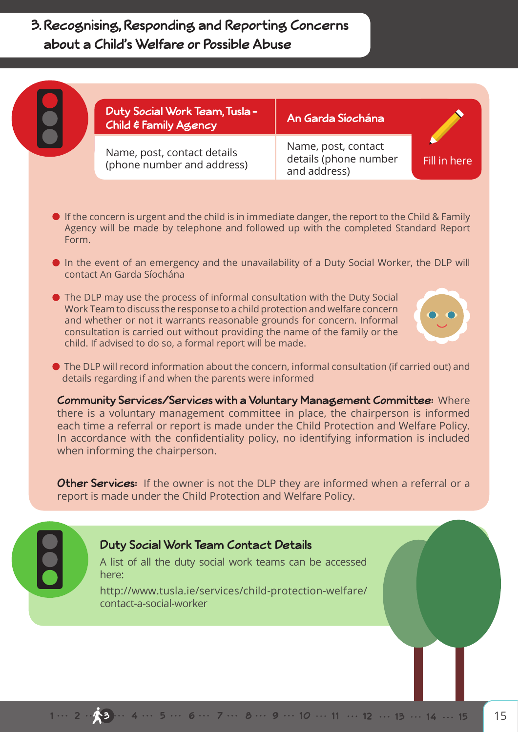| <b>Duty Social Work Team, Tusla -</b><br>Child & Family Agency | An Garda Síochána                                            |              |
|----------------------------------------------------------------|--------------------------------------------------------------|--------------|
| Name, post, contact details<br>(phone number and address)      | Name, post, contact<br>details (phone number<br>and address) | Fill in here |

- $\bullet$  If the concern is urgent and the child is in immediate danger, the report to the Child & Family Agency will be made by telephone and followed up with the completed Standard Report Form.
- In the event of an emergency and the unavailability of a Duty Social Worker, the DLP will contact An Garda Síochána
- The DLP may use the process of informal consultation with the Duty Social Work Team to discuss the response to a child protection and welfare concern and whether or not it warrants reasonable grounds for concern. Informal consultation is carried out without providing the name of the family or the child. If advised to do so, a formal report will be made.



 The DLP will record information about the concern, informal consultation (if carried out) and details regarding if and when the parents were informed

**Community Services/Services with a Voluntary Management Committee:** Where there is a voluntary management committee in place, the chairperson is informed each time a referral or report is made under the Child Protection and Welfare Policy. In accordance with the confidentiality policy, no identifying information is included when informing the chairperson.

**Other Services:** If the owner is not the DLP they are informed when a referral or a report is made under the Child Protection and Welfare Policy.

## Duty Social Work **Duty Social Work Team Contact Details**

A list of all the duty social work teams can be accessed here: A list of all the duty social work teams can be accessed<br>. here:<br>here:

http://www.tusla.ie/services/child-protection-welfare/ contact-a-social-worker

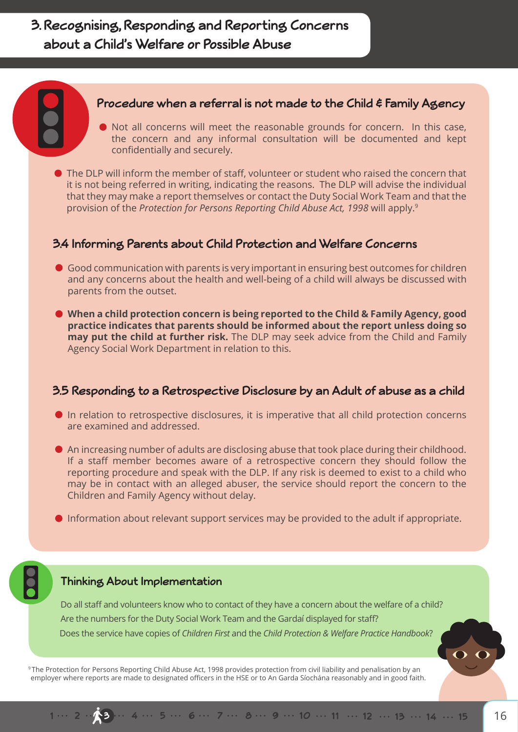#### **Procedure when a referral is not made to the Child & Family Agency**

- Not all concerns will meet the reasonable grounds for concern. In this case, the concern and any informal consultation will be documented and kept confidentially and securely.
- The DLP will inform the member of staff, volunteer or student who raised the concern that it is not being referred in writing, indicating the reasons. The DLP will advise the individual that they may make a report themselves or contact the Duty Social Work Team and that the provision of the *Protection for Persons Reporting Child Abuse Act, 1998* will apply.9

## **3.4 Informing Parents about Child Protection and Welfare Concerns**

- Good communication with parents is very important in ensuring best outcomes for children and any concerns about the health and well-being of a child will always be discussed with parents from the outset.
- **When a child protection concern is being reported to the Child & Family Agency, good practice indicates that parents should be informed about the report unless doing so may put the child at further risk.** The DLP may seek advice from the Child and Family Agency Social Work Department in relation to this.

## **3.5 Responding to a Retrospective Disclosure by an Adult of abuse as a child**

- In relation to retrospective disclosures, it is imperative that all child protection concerns are examined and addressed.
- An increasing number of adults are disclosing abuse that took place during their childhood. If a staff member becomes aware of a retrospective concern they should follow the reporting procedure and speak with the DLP. If any risk is deemed to exist to a child who may be in contact with an alleged abuser, the service should report the concern to the Children and Family Agency without delay.
- Information about relevant support services may be provided to the adult if appropriate.

#### **Thinking About Implementation**

Do all staff and volunteers know who to contact of they have a concern about the welfare of a child? Are the numbers for the Duty Social Work Team and the Gardaí displayed for staff? Does the service have copies of *Children First* and the *Child Protection & Welfare Practice Handbook*?

<sup>9</sup> The Protection for Persons Reporting Child Abuse Act, 1998 provides protection from civil liability and penalisation by an employer where reports are made to designated officers in the HSE or to An Garda Síochána reasonably and in good faith.  $\overline{\mathbf{O}}$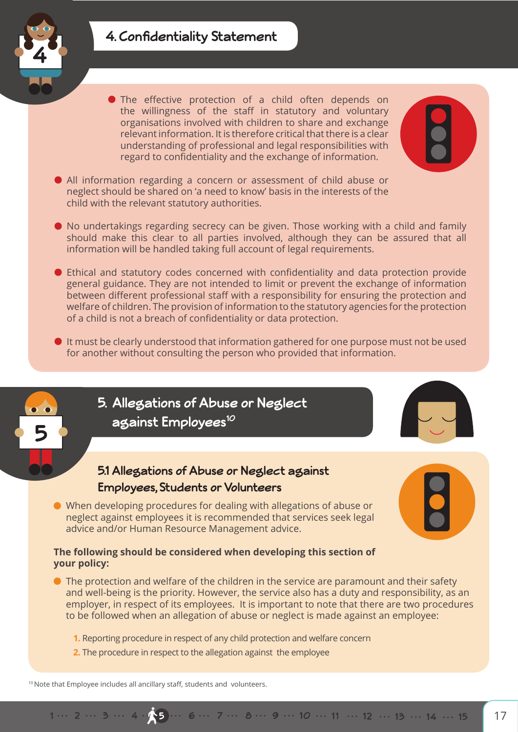## **4. Confidentiality Statement**



The effective protection of a child often depends on the willingness of the staff in statutory and voluntary organisations involved with children to share and exchange relevant information. It is therefore critical that there is a clear understanding of professional and legal responsibilities with regard to confidentiality and the exchange of information.



- All information regarding a concern or assessment of child abuse or neglect should be shared on 'a need to know' basis in the interests of the child with the relevant statutory authorities.
- No undertakings regarding secrecy can be given. Those working with a child and family should make this clear to all parties involved, although they can be assured that all information will be handled taking full account of legal requirements.
- Ethical and statutory codes concerned with confidentiality and data protection provide general guidance. They are not intended to limit or prevent the exchange of information between different professional staff with a responsibility for ensuring the protection and welfare of children. The provision of information to the statutory agencies for the protection of a child is not a breach of confidentiality or data protection.
- It must be clearly understood that information gathered for one purpose must not be used for another without consulting the person who provided that information.



#### **The following should be considered when developing this section of your policy:**

- The protection and welfare of the children in the service are paramount and their safety and well-being is the priority. However, the service also has a duty and responsibility, as an employer, in respect of its employees. It is important to note that there are two procedures to be followed when an allegation of abuse or neglect is made against an employee:
	- **1.** Reporting procedure in respect of any child protection and welfare concern
	- **2.** The procedure in respect to the allegation against the employee

<sup>10</sup> Note that Employee includes all ancillary staff, students and volunteers.

## 1... 2... 3... 4.15... 6... 7... 8... 9... 10... 11... 12... 13... 14... 15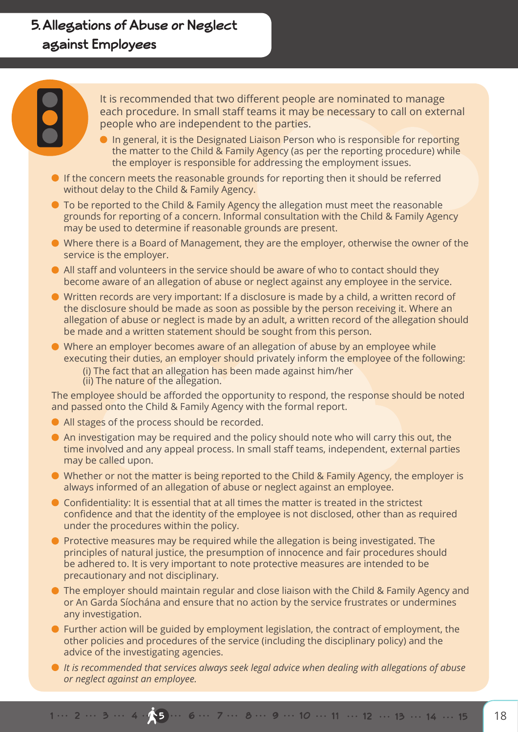## **5. Allegations of Abuse or Neglect against Employees**

It is recommended that two different people are nominated to manage each procedure. In small staff teams it may be necessary to call on external people who are independent to the parties.

- **In general, it is the Designated Liaison Person who is responsible for reporting** the matter to the Child & Family Agency (as per the reporting procedure) while the employer is responsible for addressing the employment issues.
- **If the concern meets the reasonable grounds for reporting then it should be referred** without delay to the Child & Family Agency.
- To be reported to the Child & Family Agency the allegation must meet the reasonable grounds for reporting of a concern. Informal consultation with the Child & Family Agency may be used to determine if reasonable grounds are present.
- Where there is a Board of Management, they are the employer, otherwise the owner of the service is the employer.
- All staff and volunteers in the service should be aware of who to contact should they become aware of an allegation of abuse or neglect against any employee in the service.
- Written records are very important: If a disclosure is made by a child, a written record of the disclosure should be made as soon as possible by the person receiving it. Where an allegation of abuse or neglect is made by an adult, a written record of the allegation should be made and a written statement should be sought from this person.
- Where an employer becomes aware of an allegation of abuse by an employee while executing their duties, an employer should privately inform the employee of the following:
	- (i) The fact that an allegation has been made against him/her
	- (ii) The nature of the allegation.

The employee should be afforded the opportunity to respond, the response should be noted and passed onto the Child & Family Agency with the formal report.

- All stages of the process should be recorded.
- An investigation may be required and the policy should note who will carry this out, the time involved and any appeal process. In small staff teams, independent, external parties may be called upon.
- Whether or not the matter is being reported to the Child & Family Agency, the employer is always informed of an allegation of abuse or neglect against an employee.
- Confidentiality: It is essential that at all times the matter is treated in the strictest confidence and that the identity of the employee is not disclosed, other than as required under the procedures within the policy.
- **•** Protective measures may be required while the allegation is being investigated. The principles of natural justice, the presumption of innocence and fair procedures should be adhered to. It is very important to note protective measures are intended to be precautionary and not disciplinary.
- The employer should maintain regular and close liaison with the Child & Family Agency and or An Garda Síochána and ensure that no action by the service frustrates or undermines any investigation.
- Further action will be guided by employment legislation, the contract of employment, the other policies and procedures of the service (including the disciplinary policy) and the advice of the investigating agencies.
- *It is recommended that services always seek legal advice when dealing with allegations of abuse or neglect against an employee.*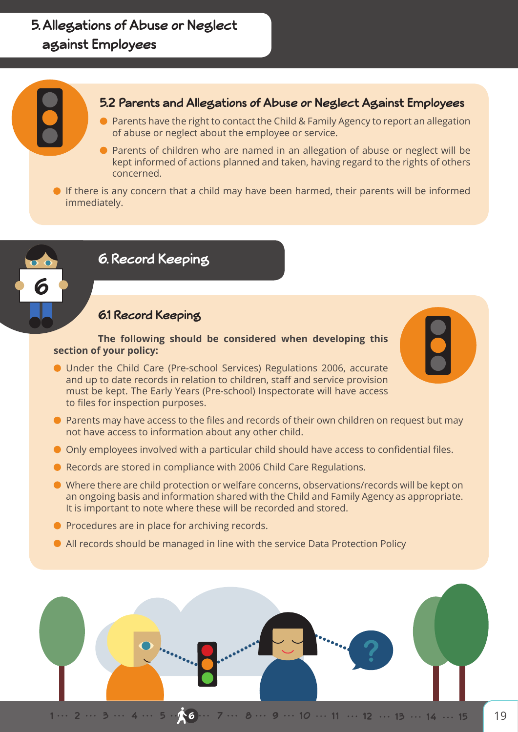## **5. Allegations of Abuse or Neglect against Employees**

## **5.2 Parents and Allegations of Abuse or Neglect Against Employees**

- Parents have the right to contact the Child & Family Agency to report an allegation of abuse or neglect about the employee or service.
- Parents of children who are named in an allegation of abuse or neglect will be kept informed of actions planned and taken, having regard to the rights of others concerned.
- If there is any concern that a child may have been harmed, their parents will be informed immediately.



## **6. Record Keeping**

## **6.1 Record Keeping**

**The following should be considered when developing this section of your policy:**

- Under the Child Care (Pre-school Services) Regulations 2006, accurate and up to date records in relation to children, staff and service provision must be kept. The Early Years (Pre-school) Inspectorate will have access to files for inspection purposes.
- Parents may have access to the files and records of their own children on request but may not have access to information about any other child.
- Only employees involved with a particular child should have access to confidential files.
- Records are stored in compliance with 2006 Child Care Regulations.
- Where there are child protection or welfare concerns, observations/records will be kept on an ongoing basis and information shared with the Child and Family Agency as appropriate. It is important to note where these will be recorded and stored.
- **Procedures are in place for archiving records.**
- All records should be managed in line with the service Data Protection Policy

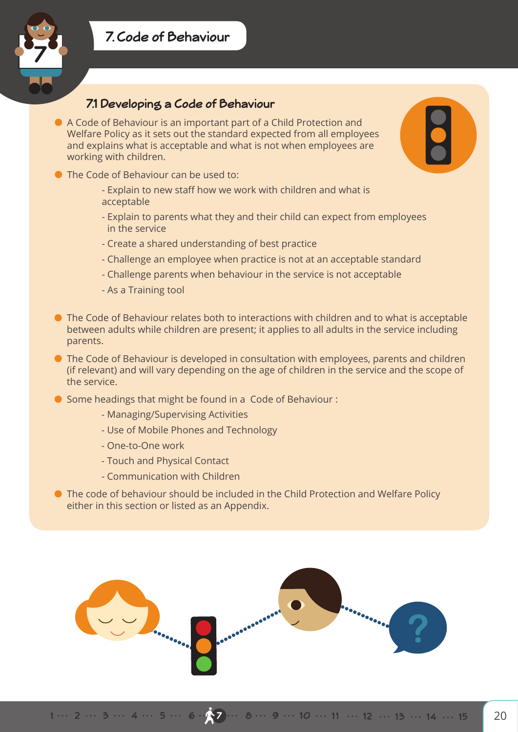

## **7.1 Developing a Code of Behaviour**

- A Code of Behaviour is an important part of a Child Protection and Welfare Policy as it sets out the standard expected from all employees and explains what is acceptable and what is not when employees are working with children.
- The Code of Behaviour can be used to:
	- Explain to new staff how we work with children and what is acceptable
	- Explain to parents what they and their child can expect from employees in the service
	- Create a shared understanding of best practice
	- Challenge an employee when practice is not at an acceptable standard
	- Challenge parents when behaviour in the service is not acceptable
	- As a Training tool
- The Code of Behaviour relates both to interactions with children and to what is acceptable between adults while children are present; it applies to all adults in the service including parents.
- The Code of Behaviour is developed in consultation with employees, parents and children (if relevant) and will vary depending on the age of children in the service and the scope of the service.
- Some headings that might be found in a Code of Behaviour :
	- Managing/Supervising Activities
	- Use of Mobile Phones and Technology
	- One-to-One work
	- Touch and Physical Contact
	- Communication with Children
- The code of behaviour should be included in the Child Protection and Welfare Policy either in this section or listed as an Appendix.

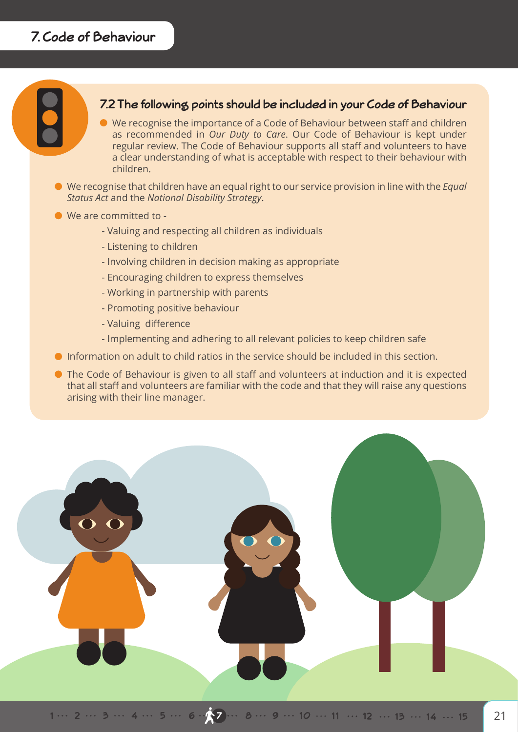## **7.2 The following points should be included in your Code of Behaviour**

- We recognise the importance of a Code of Behaviour between staff and children as recommended in *Our Duty to Care*. Our Code of Behaviour is kept under regular review. The Code of Behaviour supports all staff and volunteers to have a clear understanding of what is acceptable with respect to their behaviour with children.
- We recognise that children have an equal right to our service provision in line with the *Equal Status Act* and the *National Disability Strategy*.
- We are committed to
	- Valuing and respecting all children as individuals
	- Listening to children
	- Involving children in decision making as appropriate
	- Encouraging children to express themselves
	- Working in partnership with parents
	- Promoting positive behaviour
	- Valuing difference
	- Implementing and adhering to all relevant policies to keep children safe
- Information on adult to child ratios in the service should be included in this section.
- The Code of Behaviour is given to all staff and volunteers at induction and it is expected that all staff and volunteers are familiar with the code and that they will raise any questions arising with their line manager.

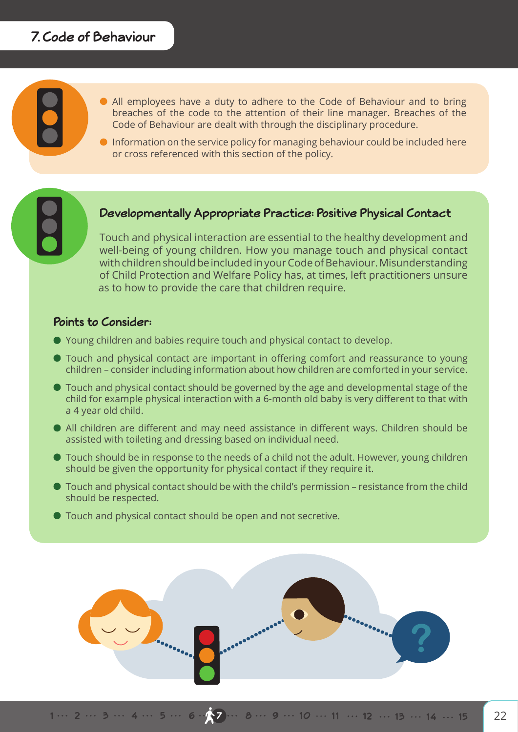## **7. Code of Behaviour**

- All employees have a duty to adhere to the Code of Behaviour and to bring breaches of the code to the attention of their line manager. Breaches of the Code of Behaviour are dealt with through the disciplinary procedure.
- **Information on the service policy for managing behaviour could be included here** or cross referenced with this section of the policy.

#### Daugheans anti-Developmentally Appropriate Practice: Positive Physical Contact

Touch and physical interaction are essential to the healthy development and well-being of young children. How you manage touch and physical contact with children should be included in your Code of Behaviour. Misunderstanding of Child Protection and Welfare Policy has, at times, left practitioners unsure as to how to provide the care that children require.

## **Points to Consider:**

- Young children and babies require touch and physical contact to develop.
- Touch and physical contact are important in offering comfort and reassurance to young children – consider including information about how children are comforted in your service.
- Touch and physical contact should be governed by the age and developmental stage of the child for example physical interaction with a 6-month old baby is very different to that with a 4 year old child.
- All children are different and may need assistance in different ways. Children should be assisted with toileting and dressing based on individual need.
- Touch should be in response to the needs of a child not the adult. However, young children should be given the opportunity for physical contact if they require it.
- Touch and physical contact should be with the child's permission resistance from the child should be respected.
- Touch and physical contact should be open and not secretive.

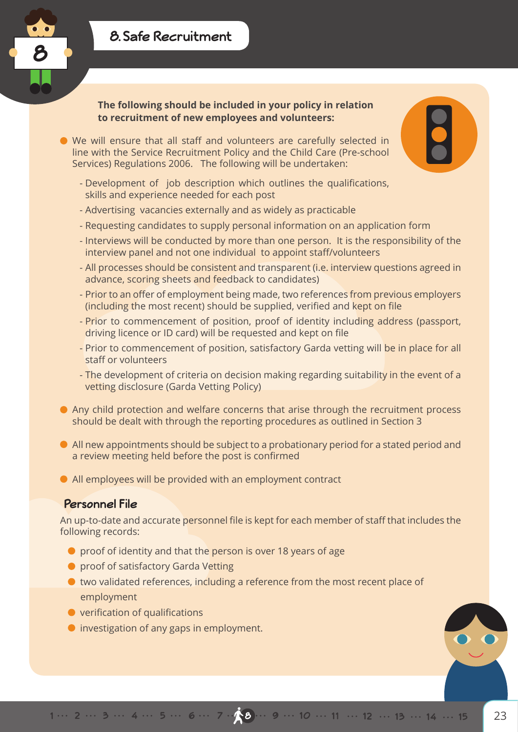



**The following should be included in your policy in relation to recruitment of new employees and volunteers:**

- We will ensure that all staff and volunteers are carefully selected in line with the Service Recruitment Policy and the Child Care (Pre-school Services) Regulations 2006. The following will be undertaken:
	- Development of job description which outlines the qualifications, skills and experience needed for each post
	- Advertising vacancies externally and as widely as practicable
	- Requesting candidates to supply personal information on an application form
	- Interviews will be conducted by more than one person. It is the responsibility of the interview panel and not one individual to appoint staff/volunteers
	- All processes should be consistent and transparent (i.e. interview questions agreed in advance, scoring sheets and feedback to candidates)
	- Prior to an offer of employment being made, two references from previous employers (including the most recent) should be supplied, verified and kept on file
	- Prior to commencement of position, proof of identity including address (passport, driving licence or ID card) will be requested and kept on file
	- Prior to commencement of position, satisfactory Garda vetting will be in place for all staff or volunteers
	- The development of criteria on decision making regarding suitability in the event of a vetting disclosure (Garda Vetting Policy)
- Any child protection and welfare concerns that arise through the recruitment process should be dealt with through the reporting procedures as outlined in Section 3
- All new appointments should be subject to a probationary period for a stated period and a review meeting held before the post is confirmed
- All employees will be provided with an employment contract

## **Personnel File**

An up-to-date and accurate personnel file is kept for each member of staff that includes the following records:

- **O** proof of identity and that the person is over 18 years of age
- **•** proof of satisfactory Garda Vetting
- two validated references, including a reference from the most recent place of employment
- **•** verification of qualifications
- **O** investigation of any gaps in employment.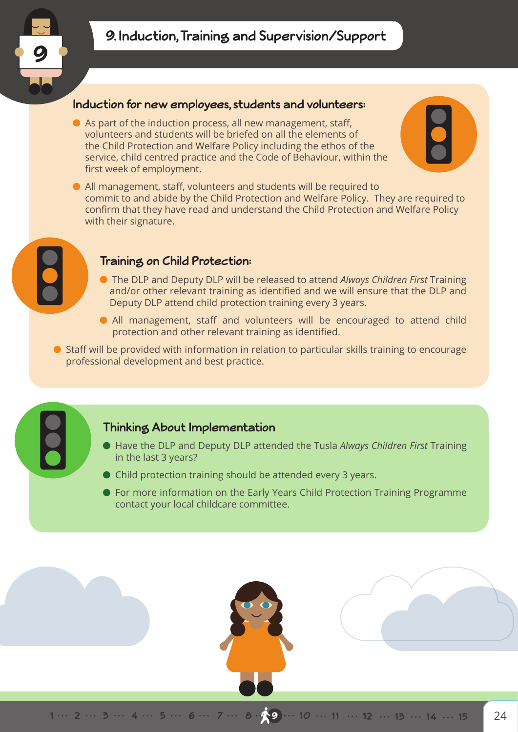

#### **Induction for new employees, students and volunteers:**

As part of the induction process, all new management, staff, volunteers and students will be briefed on all the elements of the Child Protection and Welfare Policy including the ethos of the service, child centred practice and the Code of Behaviour, within the first week of employment.



All management, staff, volunteers and students will be required to commit to and abide by the Child Protection and Welfare Policy. They are required to confirm that they have read and understand the Child Protection and Welfare Policy with their signature.



#### **Training on Child Protection:**

- The DLP and Deputy DLP will be released to attend *Always Children First* Training and/or other relevant training as identified and we will ensure that the DLP and Deputy DLP attend child protection training every 3 years.
- All management, staff and volunteers will be encouraged to attend child protection and other relevant training as identified.
- Staff will be provided with information in relation to particular skills training to encourage professional development and best practice.

#### **Thinking About Implementation**

- Have the DLP and Deputy DLP attended the Tusla *Always Children First* Training in the last 3 years?
- Child protection training should be attended every 3 years.
- For more information on the Early Years Child Protection Training Programme contact your local childcare committee.

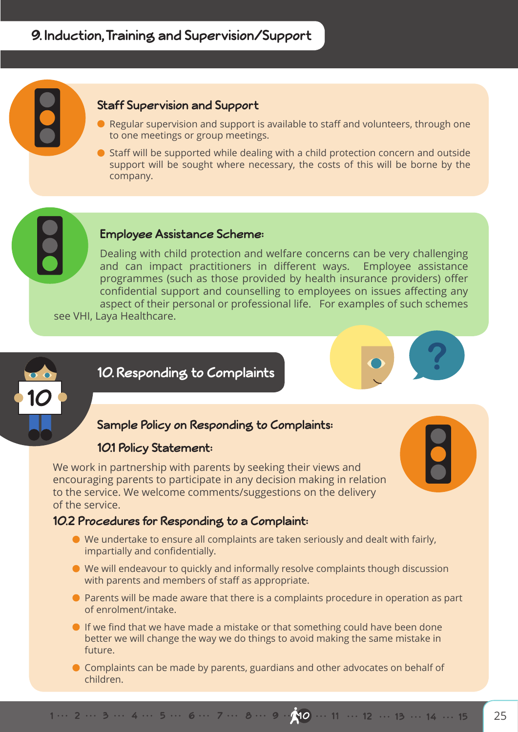## **Staff Supervision and Support**

- Regular supervision and support is available to staff and volunteers, through one to one meetings or group meetings.
- $\bullet$  Staff will be supported while dealing with a child protection concern and outside support will be sought where necessary, the costs of this will be borne by the company.

#### **Employee Assistance Scheme:**

Dealing with child protection and welfare concerns can be very challenging and can impact practitioners in different ways. Employee assistance programmes (such as those provided by health insurance providers) offer confidential support and counselling to employees on issues affecting any aspect of their personal or professional life. For examples of such schemes

see VHI, Laya Healthcare.



## **10. Responding to Complaints**

## **Sample Policy on Responding to Complaints:**

#### **10.1 Policy Statement:**

We work in partnership with parents by seeking their views and encouraging parents to participate in any decision making in relation to the service. We welcome comments/suggestions on the delivery of the service.

#### **10.2 Procedures for Responding to a Complaint:**

- We undertake to ensure all complaints are taken seriously and dealt with fairly, impartially and confidentially.
- We will endeavour to quickly and informally resolve complaints though discussion with parents and members of staff as appropriate.
- Parents will be made aware that there is a complaints procedure in operation as part of enrolment/intake.
- If we find that we have made a mistake or that something could have been done better we will change the way we do things to avoid making the same mistake in future.
- Complaints can be made by parents, guardians and other advocates on behalf of children.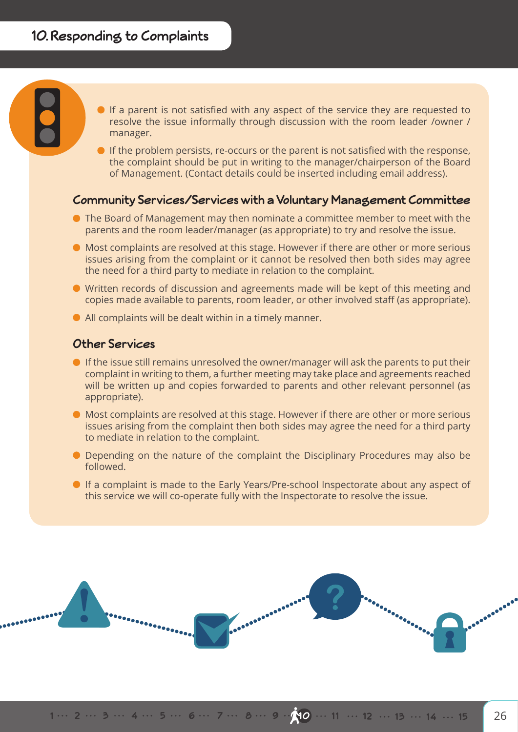If a parent is not satisfied with any aspect of the service they are requested to resolve the issue informally through discussion with the room leader /owner / manager.

If the problem persists, re-occurs or the parent is not satisfied with the response, the complaint should be put in writing to the manager/chairperson of the Board of Management. (Contact details could be inserted including email address).

## **Community Services/Services with a Voluntary Management Committee**

- The Board of Management may then nominate a committee member to meet with the parents and the room leader/manager (as appropriate) to try and resolve the issue.
- Most complaints are resolved at this stage. However if there are other or more serious issues arising from the complaint or it cannot be resolved then both sides may agree the need for a third party to mediate in relation to the complaint.
- Written records of discussion and agreements made will be kept of this meeting and copies made available to parents, room leader, or other involved staff (as appropriate).
- All complaints will be dealt within in a timely manner.

#### **Other Services**

- If the issue still remains unresolved the owner/manager will ask the parents to put their complaint in writing to them, a further meeting may take place and agreements reached will be written up and copies forwarded to parents and other relevant personnel (as appropriate).
- Most complaints are resolved at this stage. However if there are other or more serious issues arising from the complaint then both sides may agree the need for a third party to mediate in relation to the complaint.
- Depending on the nature of the complaint the Disciplinary Procedures may also be followed.
- If a complaint is made to the Early Years/Pre-school Inspectorate about any aspect of this service we will co-operate fully with the Inspectorate to resolve the issue.

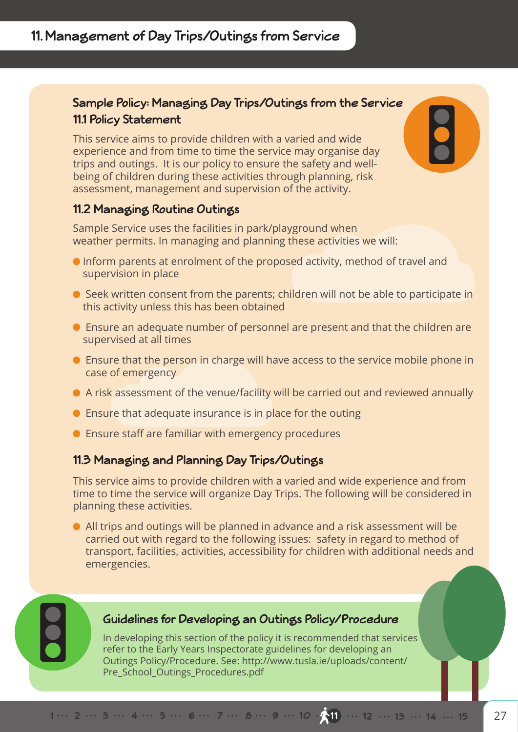## **Sample Policy: Managing Day Trips/Outings from the Service 11.1 Policy Statement**

This service aims to provide children with a varied and wide experience and from time to time the service may organise day trips and outings. It is our policy to ensure the safety and wellbeing of children during these activities through planning, risk assessment, management and supervision of the activity.

## **11.2 Managing Routine Outings**

Sample Service uses the facilities in park/playground when weather permits. In managing and planning these activities we will:

- Inform parents at enrolment of the proposed activity, method of travel and supervision in place
- Seek written consent from the parents; children will not be able to participate in this activity unless this has been obtained
- Ensure an adequate number of personnel are present and that the children are supervised at all times
- Ensure that the person in charge will have access to the service mobile phone in case of emergency
- A risk assessment of the venue/facility will be carried out and reviewed annually
- **•** Ensure that adequate insurance is in place for the outing
- Ensure staff are familiar with emergency procedures

## **11.3 Managing and Planning Day Trips/Outings**

This service aims to provide children with a varied and wide experience and from time to time the service will organize Day Trips. The following will be considered in planning these activities.

All trips and outings will be planned in advance and a risk assessment will be carried out with regard to the following issues: safety in regard to method of transport, facilities, activities, accessibility for children with additional needs and emergencies.



## **Guidelines for Developing an Outings Policy/Procedure**

In developing this section of the policy it is recommended that services refer to the Early Years Inspectorate guidelines for developing an Outings Policy/Procedure. See: http://www.tusla.ie/uploads/content/ Pre School Outings Procedures.pdf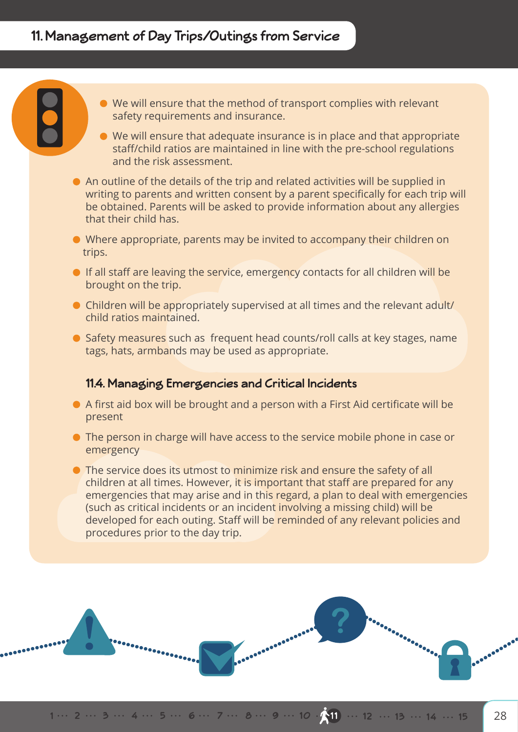- We will ensure that the method of transport complies with relevant safety requirements and insurance.
- We will ensure that adequate insurance is in place and that appropriate staff/child ratios are maintained in line with the pre-school regulations and the risk assessment.
- An outline of the details of the trip and related activities will be supplied in writing to parents and written consent by a parent specifically for each trip will be obtained. Parents will be asked to provide information about any allergies that their child has.
- Where appropriate, parents may be invited to accompany their children on trips.
- If all staff are leaving the service, emergency contacts for all children will be brought on the trip.
- Children will be appropriately supervised at all times and the relevant adult/ child ratios maintained.
- Safety measures such as frequent head counts/roll calls at key stages, name tags, hats, armbands may be used as appropriate.

## **11.4. Managing Emergencies and Critical Incidents**

- A first aid box will be brought and a person with a First Aid certificate will be present
- The person in charge will have access to the service mobile phone in case or emergency
- **•** The service does its utmost to minimize risk and ensure the safety of all children at all times. However, it is important that staff are prepared for any emergencies that may arise and in this regard, a plan to deal with emergencies (such as critical incidents or an incident involving a missing child) will be developed for each outing. Staff will be reminded of any relevant policies and procedures prior to the day trip.

**ACCORDINATION**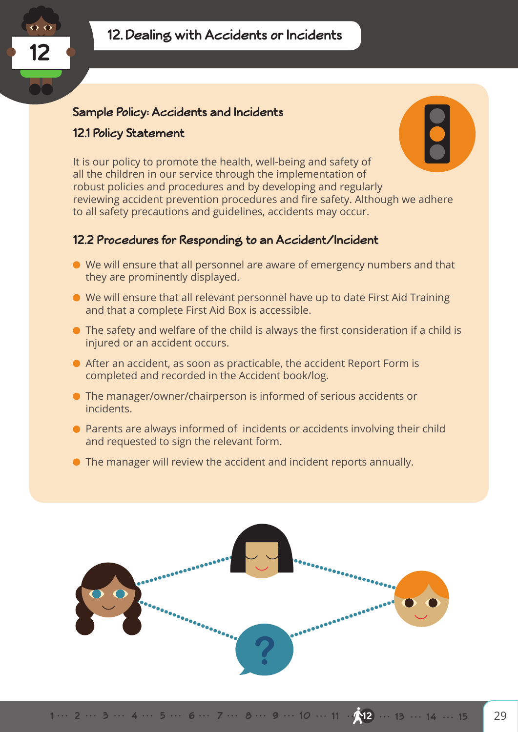

## **Sample Policy: Accidents and Incidents**

#### **12.1 Policy Statement**



It is our policy to promote the health, well-being and safety of all the children in our service through the implementation of robust policies and procedures and by developing and regularly reviewing accident prevention procedures and fire safety. Although we adhere to all safety precautions and guidelines, accidents may occur.

## **12.2 Procedures for Responding to an Accident/Incident**

- We will ensure that all personnel are aware of emergency numbers and that they are prominently displayed.
- We will ensure that all relevant personnel have up to date First Aid Training and that a complete First Aid Box is accessible.
- The safety and welfare of the child is always the first consideration if a child is injured or an accident occurs.
- After an accident, as soon as practicable, the accident Report Form is completed and recorded in the Accident book/log.
- The manager/owner/chairperson is informed of serious accidents or incidents.
- Parents are always informed of incidents or accidents involving their child and requested to sign the relevant form.
- The manager will review the accident and incident reports annually.

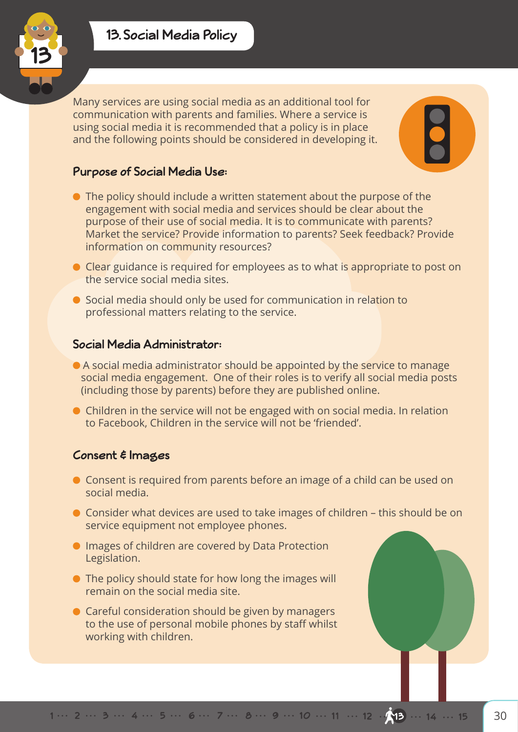



Many services are using social media as an additional tool for communication with parents and families. Where a service is using social media it is recommended that a policy is in place and the following points should be considered in developing it.

## **Purpose of Social Media Use:**

- The policy should include a written statement about the purpose of the engagement with social media and services should be clear about the purpose of their use of social media. It is to communicate with parents? Market the service? Provide information to parents? Seek feedback? Provide information on community resources?
- Clear guidance is required for employees as to what is appropriate to post on the service social media sites.
- Social media should only be used for communication in relation to professional matters relating to the service.

## **Social Media Administrator:**

- A social media administrator should be appointed by the service to manage social media engagement. One of their roles is to verify all social media posts (including those by parents) before they are published online.
- Children in the service will not be engaged with on social media. In relation to Facebook, Children in the service will not be 'friended'.

## **Consent & Images**

- Consent is required from parents before an image of a child can be used on social media.
- Consider what devices are used to take images of children this should be on service equipment not employee phones.
- **Images of children are covered by Data Protection** Legislation.
- The policy should state for how long the images will remain on the social media site.
- **Careful consideration should be given by managers** to the use of personal mobile phones by staff whilst working with children.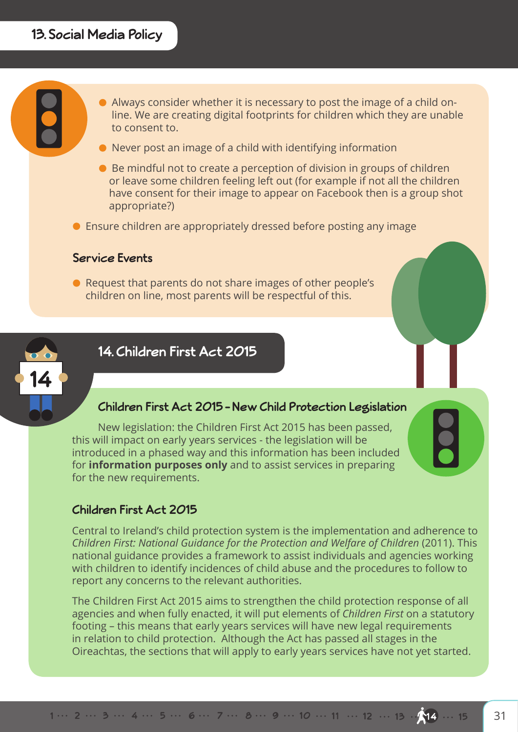

- Never post an image of a child with identifying information
- Be mindful not to create a perception of division in groups of children or leave some children feeling left out (for example if not all the children have consent for their image to appear on Facebook then is a group shot appropriate?)
- Ensure children are appropriately dressed before posting any image

#### **Service Events**

● Request that parents do not share images of other people's children on line, most parents will be respectful of this.



## **14. Children First Act 2015**

#### **Children First Act 2015 – New Child Protection Legislation**

New legislation: the Children First Act 2015 has been passed, this will impact on early years services - the legislation will be introduced in a phased way and this information has been included for **information purposes only** and to assist services in preparing for the new requirements.

## **Children First Act 2015**

Central to Ireland's child protection system is the implementation and adherence to *Children First: National Guidance for the Protection and Welfare of Children* (2011). This national guidance provides a framework to assist individuals and agencies working with children to identify incidences of child abuse and the procedures to follow to report any concerns to the relevant authorities.

The Children First Act 2015 aims to strengthen the child protection response of all agencies and when fully enacted, it will put elements of *Children First* on a statutory footing – this means that early years services will have new legal requirements in relation to child protection. Although the Act has passed all stages in the Oireachtas, the sections that will apply to early years services have not yet started.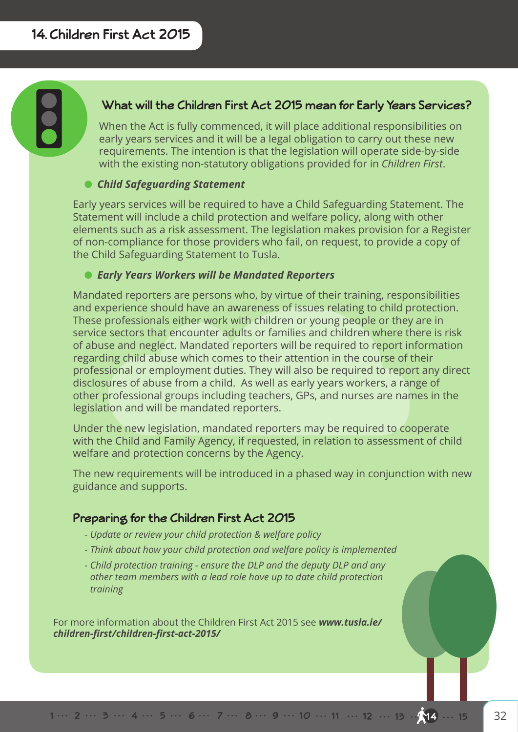## **What will the Children First Act 2015 mean for Early Years Services?**

When the Act is fully commenced, it will place additional responsibilities on early years services and it will be a legal obligation to carry out these new requirements. The intention is that the legislation will operate side-by-side with the existing non-statutory obligations provided for in *Children First*.

## *Child Safeguarding Statement*

Early years services will be required to have a Child Safeguarding Statement. The Statement will include a child protection and welfare policy, along with other elements such as a risk assessment. The legislation makes provision for a Register of non-compliance for those providers who fail, on request, to provide a copy of the Child Safeguarding Statement to Tusla.

#### *Early Years Workers will be Mandated Reporters*

Mandated reporters are persons who, by virtue of their training, responsibilities and experience should have an awareness of issues relating to child protection. These professionals either work with children or young people or they are in service sectors that encounter adults or families and children where there is risk of abuse and neglect. Mandated reporters will be required to report information regarding child abuse which comes to their attention in the course of their professional or employment duties. They will also be required to report any direct disclosures of abuse from a child. As well as early years workers, a range of other professional groups including teachers, GPs, and nurses are names in the legislation and will be mandated reporters.

Under the new legislation, mandated reporters may be required to cooperate with the Child and Family Agency, if requested, in relation to assessment of child welfare and protection concerns by the Agency.

The new requirements will be introduced in a phased way in conjunction with new guidance and supports.

## **Preparing for the Children First Act 2015**

- *Update or review your child protection & welfare policy*
- *Think about how your child protection and welfare policy is implemented*
- *Child protection training ensure the DLP and the deputy DLP and any other team members with a lead role have up to date child protection training*

For more information about the Children First Act 2015 see *www.tusla.ie/ children-first/children-first-act-2015/*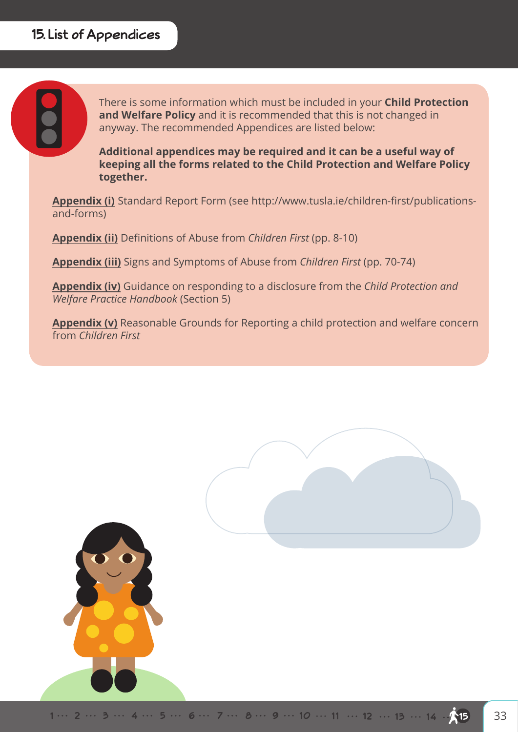There is some information which must be included in your **Child Protection and Welfare Policy** and it is recommended that this is not changed in anyway. The recommended Appendices are listed below:

**Additional appendices may be required and it can be a useful way of keeping all the forms related to the Child Protection and Welfare Policy together.**

**Appendix (i)** Standard Report Form (see http://www.tusla.ie/children-first/publicationsand-forms)

**Appendix (ii)** Definitions of Abuse from *Children First* (pp. 8-10)

**Appendix (iii)** Signs and Symptoms of Abuse from *Children First* (pp. 70-74)

**Appendix (iv)** Guidance on responding to a disclosure from the *Child Protection and Welfare Practice Handbook* (Section 5)

**Appendix (v)** Reasonable Grounds for Reporting a child protection and welfare concern from *Children First*

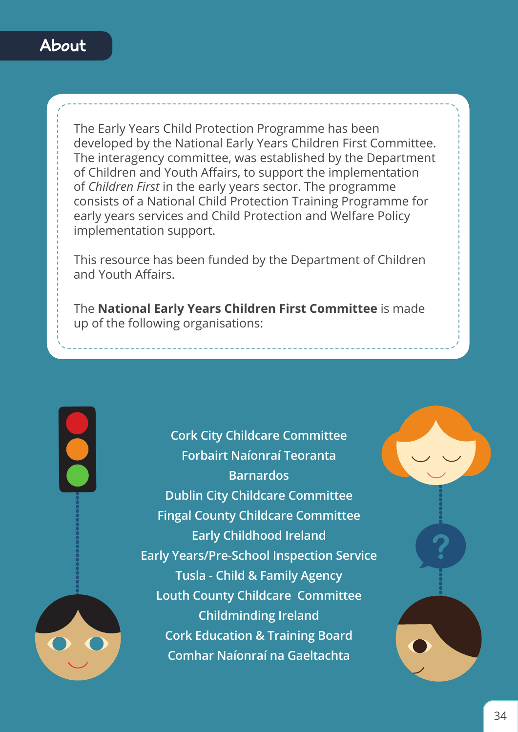

The Early Years Child Protection Programme has been developed by the National Early Years Children First Committee. The interagency committee, was established by the Department of Children and Youth Affairs, to support the implementation of *Children First* in the early years sector. The programme consists of a National Child Protection Training Programme for early years services and Child Protection and Welfare Policy implementation support.

This resource has been funded by the Department of Children and Youth Affairs.

The **National Early Years Children First Committee** is made up of the following organisations:

> **Cork City Childcare Committee Forbairt Naíonraí Teoranta Barnardos Dublin City Childcare Committee Fingal County Childcare Committee Early Childhood Ireland Early Years/Pre-School Inspection Service Tusla - Child & Family Agency Louth County Childcare Committee Childminding Ireland Cork Education & Training Board Comhar Naíonraí na Gaeltachta**